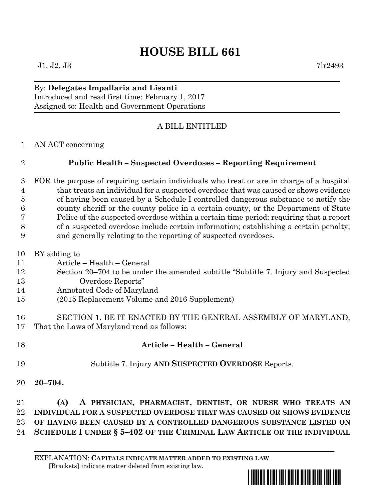## **HOUSE BILL 661**

## By: **Delegates Impallaria and Lisanti** Introduced and read first time: February 1, 2017 Assigned to: Health and Government Operations

## A BILL ENTITLED

AN ACT concerning

## **Public Health – Suspected Overdoses – Reporting Requirement**

 FOR the purpose of requiring certain individuals who treat or are in charge of a hospital that treats an individual for a suspected overdose that was caused or shows evidence of having been caused by a Schedule I controlled dangerous substance to notify the county sheriff or the county police in a certain county, or the Department of State Police of the suspected overdose within a certain time period; requiring that a report of a suspected overdose include certain information; establishing a certain penalty; and generally relating to the reporting of suspected overdoses.

| 10 | BY adding to                                                                       |
|----|------------------------------------------------------------------------------------|
| 11 | Article – Health – General                                                         |
| 12 | Section 20–704 to be under the amended subtitle "Subtitle 7. Injury and Suspected" |
| 13 | Overdose Reports"                                                                  |
| 14 | Annotated Code of Maryland                                                         |
| 15 | (2015 Replacement Volume and 2016 Supplement)                                      |
|    |                                                                                    |
| 16 | SECTION 1. BE IT ENACTED BY THE GENERAL ASSEMBLY OF MARYLAND,                      |
| 17 | That the Laws of Maryland read as follows:                                         |

- **Article – Health – General**
- Subtitle 7. Injury **AND SUSPECTED OVERDOSE** Reports.
- **20–704.**

 **(A) A PHYSICIAN, PHARMACIST, DENTIST, OR NURSE WHO TREATS AN INDIVIDUAL FOR A SUSPECTED OVERDOSE THAT WAS CAUSED OR SHOWS EVIDENCE OF HAVING BEEN CAUSED BY A CONTROLLED DANGEROUS SUBSTANCE LISTED ON SCHEDULE I UNDER § 5–402 OF THE CRIMINAL LAW ARTICLE OR THE INDIVIDUAL**